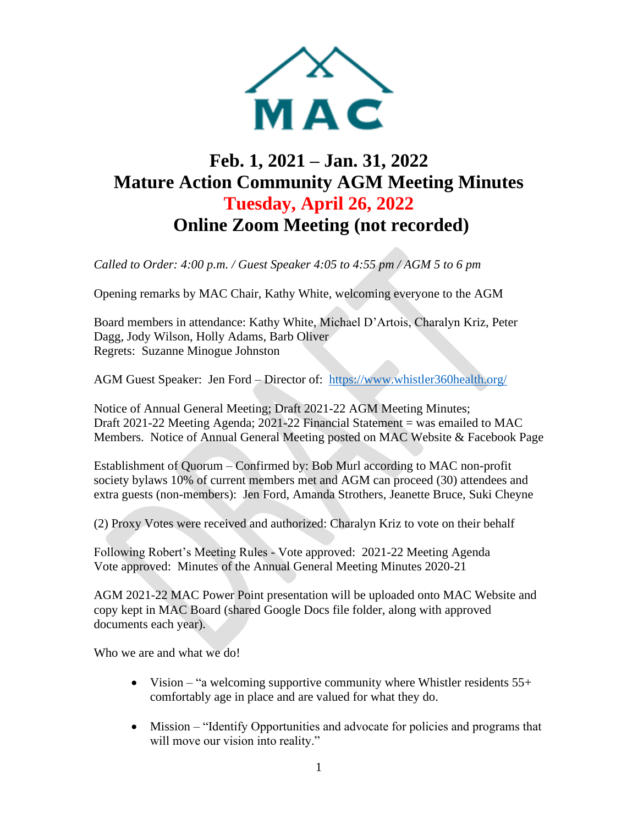

## **Feb. 1, 2021 – Jan. 31, 2022 Mature Action Community AGM Meeting Minutes Tuesday, April 26, 2022 Online Zoom Meeting (not recorded)**

*Called to Order: 4:00 p.m. / Guest Speaker 4:05 to 4:55 pm / AGM 5 to 6 pm*

Opening remarks by MAC Chair, Kathy White, welcoming everyone to the AGM

Board members in attendance: Kathy White, Michael D'Artois, Charalyn Kriz, Peter Dagg, Jody Wilson, Holly Adams, Barb Oliver Regrets: Suzanne Minogue Johnston

AGM Guest Speaker: Jen Ford – Director of: <https://www.whistler360health.org/>

Notice of Annual General Meeting; Draft 2021-22 AGM Meeting Minutes; Draft 2021-22 Meeting Agenda; 2021-22 Financial Statement = was emailed to MAC Members. Notice of Annual General Meeting posted on MAC Website & Facebook Page

Establishment of Quorum – Confirmed by: Bob Murl according to MAC non-profit society bylaws 10% of current members met and AGM can proceed (30) attendees and extra guests (non-members): Jen Ford, Amanda Strothers, Jeanette Bruce, Suki Cheyne

(2) Proxy Votes were received and authorized: Charalyn Kriz to vote on their behalf

Following Robert's Meeting Rules - Vote approved: 2021-22 Meeting Agenda Vote approved: Minutes of the Annual General Meeting Minutes 2020-21

AGM 2021-22 MAC Power Point presentation will be uploaded onto MAC Website and copy kept in MAC Board (shared Google Docs file folder, along with approved documents each year).

Who we are and what we do!

- Vision "a welcoming supportive community where Whistler residents 55+ comfortably age in place and are valued for what they do.
- Mission "Identify Opportunities and advocate for policies and programs that will move our vision into reality."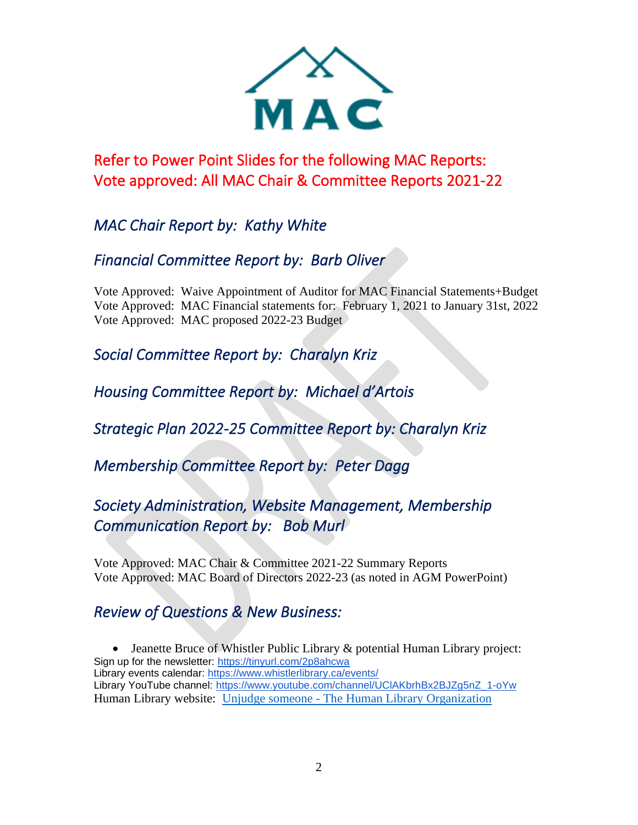

Refer to Power Point Slides for the following MAC Reports: Vote approved: All MAC Chair & Committee Reports 2021-22

*MAC Chair Report by: Kathy White*

*Financial Committee Report by: Barb Oliver*

Vote Approved: Waive Appointment of Auditor for MAC Financial Statements+Budget Vote Approved: MAC Financial statements for: February 1, 2021 to January 31st, 2022 Vote Approved: MAC proposed 2022-23 Budget

*Social Committee Report by: Charalyn Kriz* 

*Housing Committee Report by: Michael d'Artois* 

*Strategic Plan 2022-25 Committee Report by: Charalyn Kriz* 

*Membership Committee Report by: Peter Dagg* 

*Society Administration, Website Management, Membership Communication Report by: Bob Murl* 

Vote Approved: MAC Chair & Committee 2021-22 Summary Reports Vote Approved: MAC Board of Directors 2022-23 (as noted in AGM PowerPoint)

*Review of Questions & New Business:* 

• Jeanette Bruce of Whistler Public Library & potential Human Library project: Sign up for the newsletter: <https://tinyurl.com/2p8ahcwa> Library events calendar: <https://www.whistlerlibrary.ca/events/> Library YouTube channel: https://www.youtube.com/channel/UCIAKbrhBx2BJZg5nZ\_1-oYw Human Library website: Unjudge someone - [The Human Library Organization](https://humanlibrary.org/)